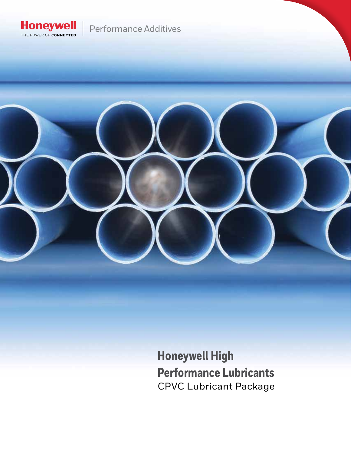

## Performance Additives

**Honeywell High Performance Lubricants** CPVC Lubricant Package